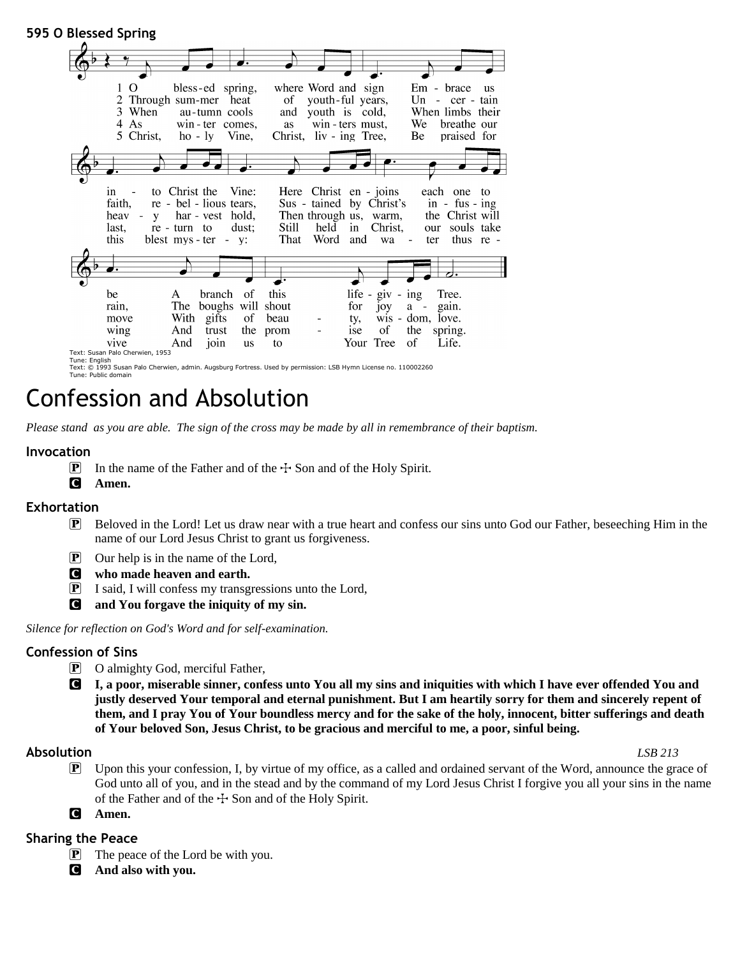

# Confession and Absolution

*Please stand as you are able. The sign of the cross may be made by all in remembrance of their baptism.*

# **Invocation**

- **P** In the name of the Father and of the  $\pm$  Son and of the Holy Spirit.
- C **Amen.**

# **Exhortation**

- P Beloved in the Lord! Let us draw near with a true heart and confess our sins unto God our Father, beseeching Him in the name of our Lord Jesus Christ to grant us forgiveness.
- P Our help is in the name of the Lord,
- C **who made heaven and earth.**
- P I said, I will confess my transgressions unto the Lord,
- C **and You forgave the iniquity of my sin.**

*Silence for reflection on God's Word and for self-examination.*

# **Confession of Sins**

- P O almighty God, merciful Father,
- C **I, a poor, miserable sinner, confess unto You all my sins and iniquities with which I have ever offended You and justly deserved Your temporal and eternal punishment. But I am heartily sorry for them and sincerely repent of them, and I pray You of Your boundless mercy and for the sake of the holy, innocent, bitter sufferings and death of Your beloved Son, Jesus Christ, to be gracious and merciful to me, a poor, sinful being.**

# **Absolution** *LSB 213*

- P Upon this your confession, I, by virtue of my office, as a called and ordained servant of the Word, announce the grace of God unto all of you, and in the stead and by the command of my Lord Jesus Christ I forgive you all your sins in the name of the Father and of the  $\pm$  Son and of the Holy Spirit.
- C **Amen.**

# **Sharing the Peace**

- P The peace of the Lord be with you.
- C **And also with you.**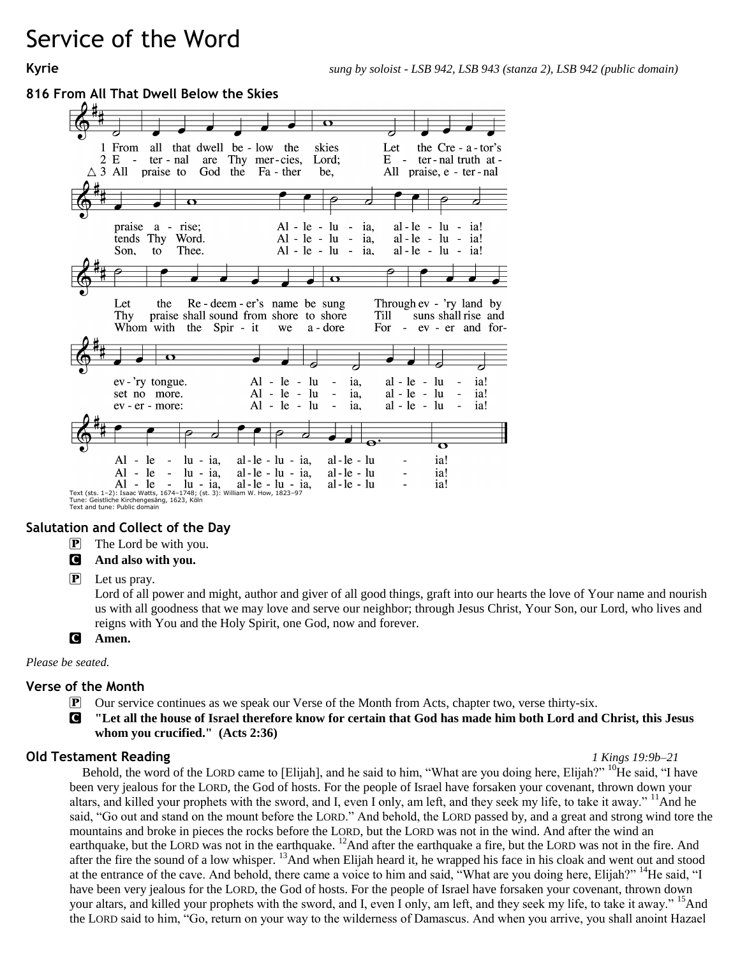# Service of the Word

# **816 From All That Dwell Below the Skies**



# **Salutation and Collect of the Day**

P The Lord be with you.

# C **And also with you.**

P Let us pray.

Lord of all power and might, author and giver of all good things, graft into our hearts the love of Your name and nourish us with all goodness that we may love and serve our neighbor; through Jesus Christ, Your Son, our Lord, who lives and reigns with You and the Holy Spirit, one God, now and forever.

C **Amen.**

*Please be seated.*

# **Verse of the Month**

- P Our service continues as we speak our Verse of the Month from Acts, chapter two, verse thirty-six.
- C **"Let all the house of Israel therefore know for certain that God has made him both Lord and Christ, this Jesus whom you crucified." (Acts 2:36)**

# **Old Testament Reading** *1 Kings 19:9b–21*

Behold, the word of the LORD came to [Elijah], and he said to him, "What are you doing here, Elijah?" <sup>10</sup>He said, "I have been very jealous for the LORD, the God of hosts. For the people of Israel have forsaken your covenant, thrown down your altars, and killed your prophets with the sword, and I, even I only, am left, and they seek my life, to take it away." <sup>11</sup>And he said, "Go out and stand on the mount before the LORD." And behold, the LORD passed by, and a great and strong wind tore the mountains and broke in pieces the rocks before the LORD, but the LORD was not in the wind. And after the wind an earthquake, but the LORD was not in the earthquake. <sup>12</sup>And after the earthquake a fire, but the LORD was not in the fire. And after the fire the sound of a low whisper. <sup>13</sup>And when Elijah heard it, he wrapped his face in his cloak and went out and stood at the entrance of the cave. And behold, there came a voice to him and said, "What are you doing here, Elijah?" <sup>14</sup>He said, "I have been very jealous for the LORD, the God of hosts. For the people of Israel have forsaken your covenant, thrown down your altars, and killed your prophets with the sword, and I, even I only, am left, and they seek my life, to take it away." <sup>15</sup>And the LORD said to him, "Go, return on your way to the wilderness of Damascus. And when you arrive, you shall anoint Hazael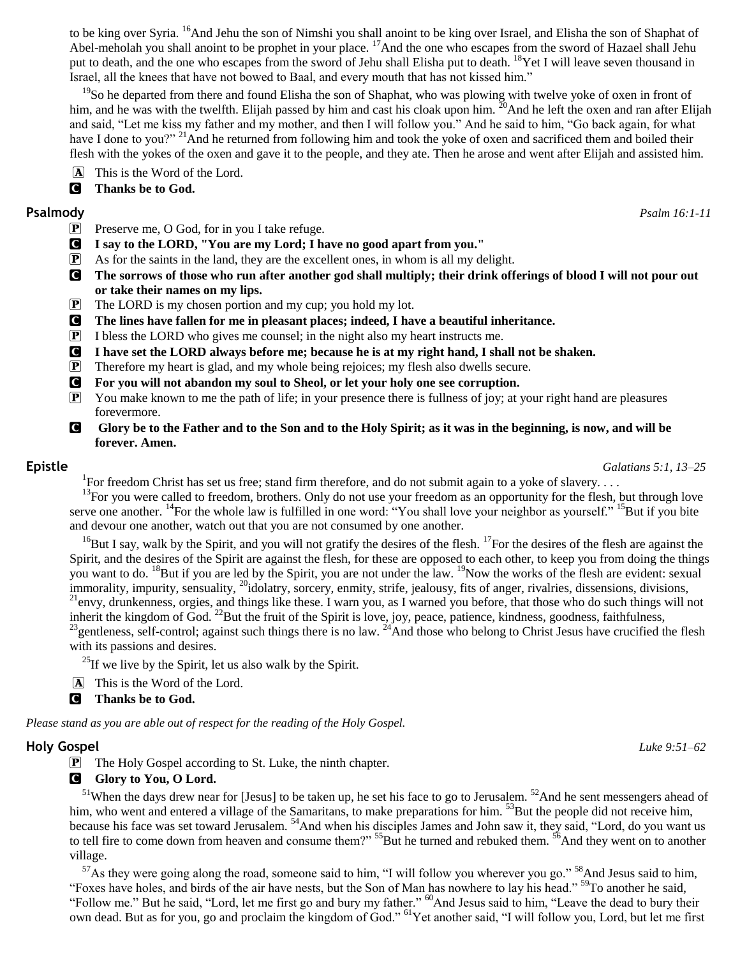to be king over Syria. <sup>16</sup>And Jehu the son of Nimshi you shall anoint to be king over Israel, and Elisha the son of Shaphat of Abel-meholah you shall anoint to be prophet in your place. <sup>17</sup>And the one who escapes from the sword of Hazael shall Jehu put to death, and the one who escapes from the sword of Jehu shall Elisha put to death. <sup>18</sup>Yet I will leave seven thousand in Israel, all the knees that have not bowed to Baal, and every mouth that has not kissed him."

<sup>19</sup>So he departed from there and found Elisha the son of Shaphat, who was plowing with twelve yoke of oxen in front of him, and he was with the twelfth. Elijah passed by him and cast his cloak upon him.  $^{20}$ And he left the oxen and ran after Elijah and said, "Let me kiss my father and my mother, and then I will follow you." And he said to him, "Go back again, for what have I done to you?" <sup>21</sup>And he returned from following him and took the yoke of oxen and sacrificed them and boiled their flesh with the yokes of the oxen and gave it to the people, and they ate. Then he arose and went after Elijah and assisted him.

A This is the Word of the Lord.

C **Thanks be to God.**

- P Preserve me, O God, for in you I take refuge.
- C **I say to the LORD, "You are my Lord; I have no good apart from you."**
- $\mathbf{P}$  As for the saints in the land, they are the excellent ones, in whom is all my delight.
- C **The sorrows of those who run after another god shall multiply; their drink offerings of blood I will not pour out or take their names on my lips.**
- P The LORD is my chosen portion and my cup; you hold my lot.
- C **The lines have fallen for me in pleasant places; indeed, I have a beautiful inheritance.**
- P I bless the LORD who gives me counsel; in the night also my heart instructs me.
- C **I have set the LORD always before me; because he is at my right hand, I shall not be shaken.**
- P Therefore my heart is glad, and my whole being rejoices; my flesh also dwells secure.
- C **For you will not abandon my soul to Sheol, or let your holy one see corruption.**
- $\mathbf{P}$  You make known to me the path of life; in your presence there is fullness of joy; at your right hand are pleasures forevermore.
- **G** Glory be to the Father and to the Son and to the Holy Spirit; as it was in the beginning, is now, and will be **forever. Amen.**

**Epistle** *Galatians 5:1, 13–25*

<sup>1</sup>For freedom Christ has set us free; stand firm therefore, and do not submit again to a yoke of slavery....

<sup>13</sup>For you were called to freedom, brothers. Only do not use your freedom as an opportunity for the flesh, but through love serve one another. <sup>14</sup>For the whole law is fulfilled in one word: "You shall love your neighbor as yourself." <sup>15</sup>But if you bite and devour one another, watch out that you are not consumed by one another.

 $16$ But I say, walk by the Spirit, and you will not gratify the desires of the flesh.  $17$ For the desires of the flesh are against the Spirit, and the desires of the Spirit are against the flesh, for these are opposed to each other, to keep you from doing the things you want to do. <sup>18</sup>But if you are led by the Spirit, you are not under the law. <sup>19</sup>Now the works of the flesh are evident: sexual immorality, impurity, sensuality, <sup>20</sup>idolatry, sorcery, enmity, strife, jealousy, fits of anger, rivalries, dissensions, divisions,  $^{21}$ envy, drunkenness, orgies, and things like these. I warn you, as I warned you before, that those who do such things will not inherit the kingdom of God.  $^{22}$ But the fruit of the Spirit is love, joy, peace, patience, kindness, goodness, faithfulness,

<sup>23</sup>gentleness, self-control; against such things there is no law. <sup>24</sup>And those who belong to Christ Jesus have crucified the flesh with its passions and desires.

 $^{25}$ If we live by the Spirit, let us also walk by the Spirit.

- A This is the Word of the Lord.
- C **Thanks be to God.**

*Please stand as you are able out of respect for the reading of the Holy Gospel.*

# **Holy Gospel** *Luke 9:51–62*

**P** The Holy Gospel according to St. Luke, the ninth chapter.

# **G** Glory to You, O Lord.

 $<sup>51</sup>$ When the days drew near for [Jesus] to be taken up, he set his face to go to Jerusalem.  $<sup>52</sup>$ And he sent messengers ahead of</sup></sup> him, who went and entered a village of the Samaritans, to make preparations for him. <sup>53</sup>But the people did not receive him, because his face was set toward Jerusalem. <sup>54</sup>And when his disciples James and John saw it, they said, "Lord, do you want us to tell fire to come down from heaven and consume them?" <sup>55</sup>But he turned and rebuked them. <sup>56</sup>And they went on to another village.

 $57$ As they were going along the road, someone said to him, "I will follow you wherever you go."  $58$ And Jesus said to him, "Foxes have holes, and birds of the air have nests, but the Son of Man has nowhere to lay his head." <sup>59</sup>To another he said, "Follow me." But he said, "Lord, let me first go and bury my father." <sup>60</sup>And Jesus said to him, "Leave the dead to bury their own dead. But as for you, go and proclaim the kingdom of God." <sup>61</sup>Yet another said, "I will follow you, Lord, but let me first

**Psalmody** *Psalm 16:1-11*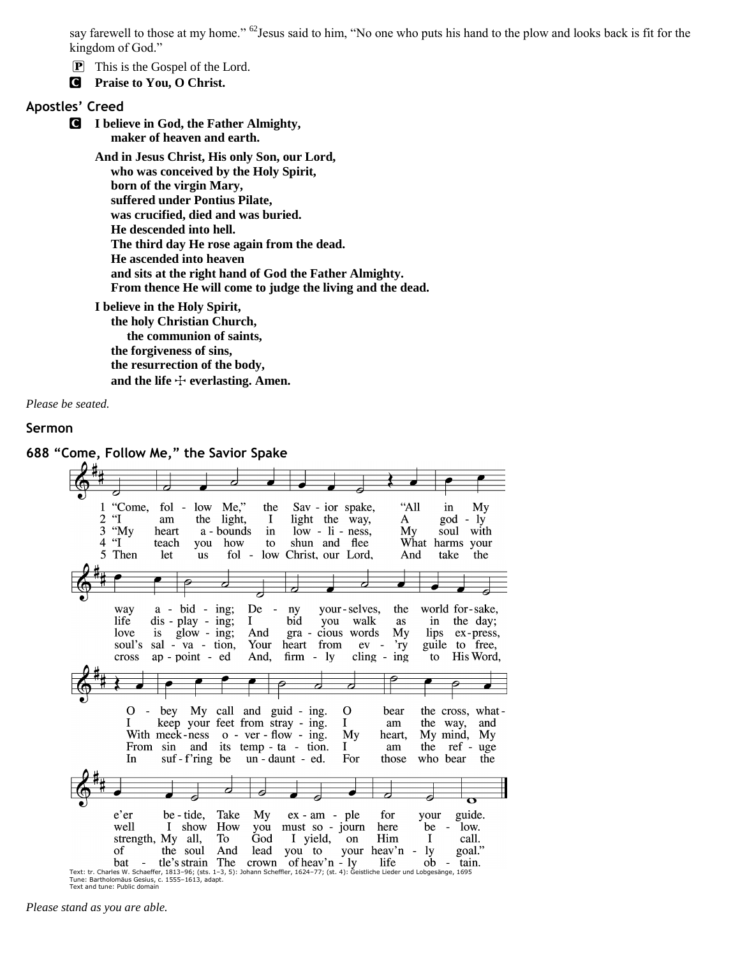say farewell to those at my home." <sup>62</sup>Jesus said to him, "No one who puts his hand to the plow and looks back is fit for the kingdom of God."

P This is the Gospel of the Lord.

C **Praise to You, O Christ.**

# **Apostles' Creed**

C **I believe in God, the Father Almighty, maker of heaven and earth.**

> **And in Jesus Christ, His only Son, our Lord, who was conceived by the Holy Spirit, born of the virgin Mary, suffered under Pontius Pilate, was crucified, died and was buried. He descended into hell. The third day He rose again from the dead. He ascended into heaven and sits at the right hand of God the Father Almighty. From thence He will come to judge the living and the dead.**

**I believe in the Holy Spirit, the holy Christian Church, the communion of saints, the forgiveness of sins, the resurrection of the body,** and the life  $\div$  everlasting. Amen.

*Please be seated.*

#### **Sermon**



# **688 "Come, Follow Me," the Savior Spake**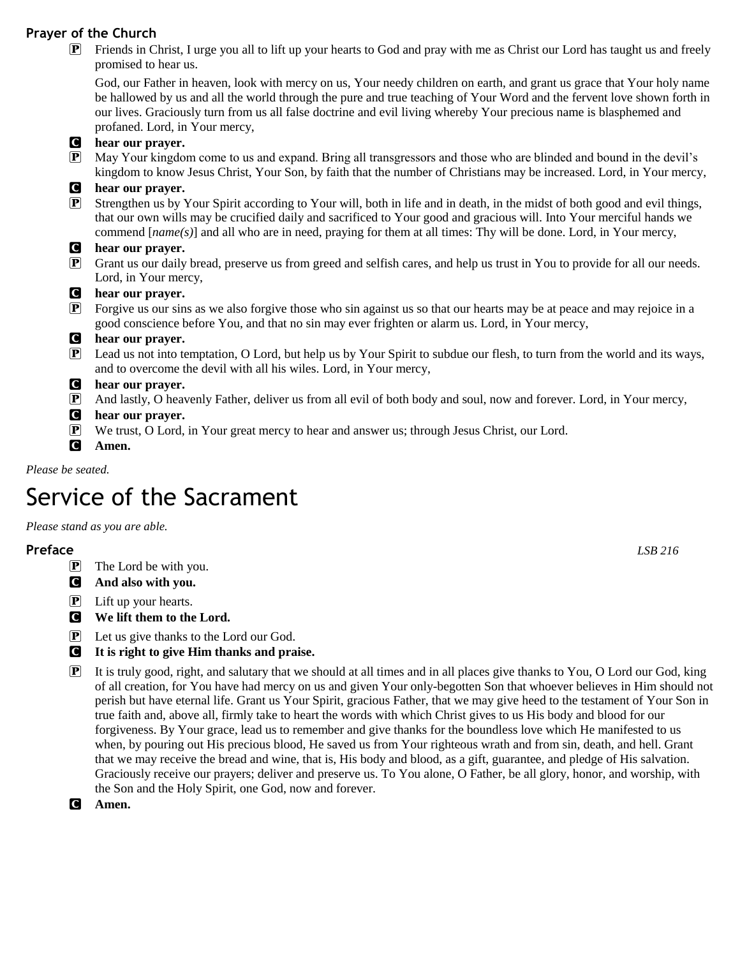# **Prayer of the Church**

P Friends in Christ, I urge you all to lift up your hearts to God and pray with me as Christ our Lord has taught us and freely promised to hear us.

God, our Father in heaven, look with mercy on us, Your needy children on earth, and grant us grace that Your holy name be hallowed by us and all the world through the pure and true teaching of Your Word and the fervent love shown forth in our lives. Graciously turn from us all false doctrine and evil living whereby Your precious name is blasphemed and profaned. Lord, in Your mercy,



*Please be seated.*

# Service of the Sacrament

*Please stand as you are able.*

# **Preface** *LSB 216*

- $\boxed{\mathbf{P}}$  The Lord be with you.
- C **And also with you.**
- $\left| \mathbf{P} \right|$  Lift up your hearts.
- C **We lift them to the Lord.**
- P Let us give thanks to the Lord our God.
- C **It is right to give Him thanks and praise.**
- P It is truly good, right, and salutary that we should at all times and in all places give thanks to You, O Lord our God, king of all creation, for You have had mercy on us and given Your only-begotten Son that whoever believes in Him should not perish but have eternal life. Grant us Your Spirit, gracious Father, that we may give heed to the testament of Your Son in true faith and, above all, firmly take to heart the words with which Christ gives to us His body and blood for our forgiveness. By Your grace, lead us to remember and give thanks for the boundless love which He manifested to us when, by pouring out His precious blood, He saved us from Your righteous wrath and from sin, death, and hell. Grant that we may receive the bread and wine, that is, His body and blood, as a gift, guarantee, and pledge of His salvation. Graciously receive our prayers; deliver and preserve us. To You alone, O Father, be all glory, honor, and worship, with the Son and the Holy Spirit, one God, now and forever.
- C **Amen.**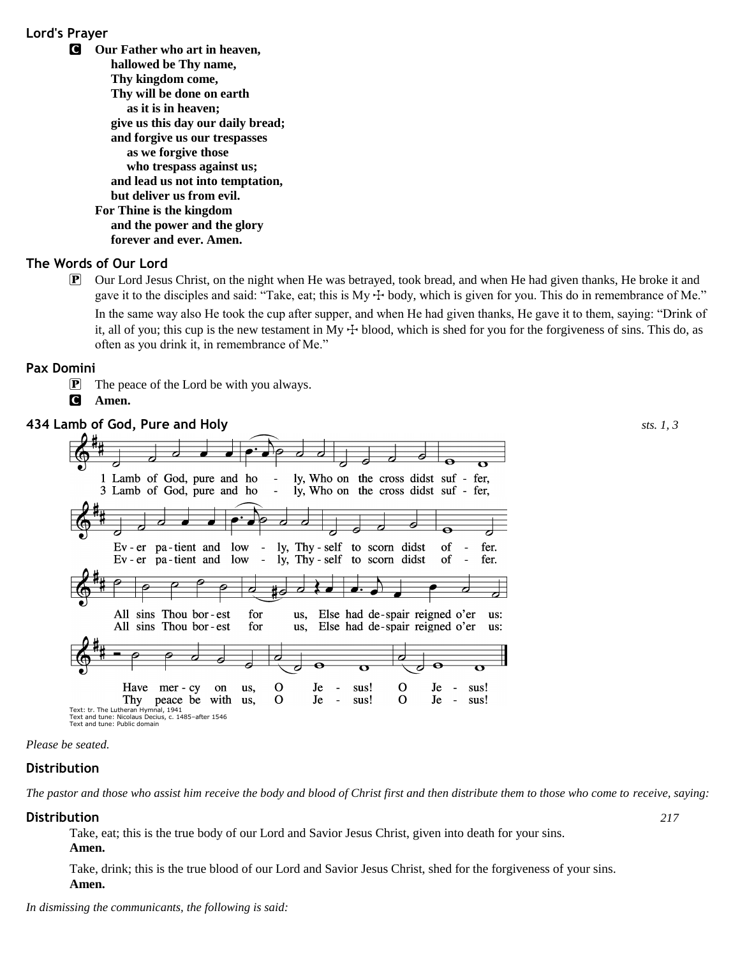# **Lord's Prayer**

C **Our Father who art in heaven, hallowed be Thy name, Thy kingdom come, Thy will be done on earth as it is in heaven; give us this day our daily bread; and forgive us our trespasses as we forgive those who trespass against us; and lead us not into temptation, but deliver us from evil. For Thine is the kingdom and the power and the glory forever and ever. Amen.**

# **The Words of Our Lord**

P Our Lord Jesus Christ, on the night when He was betrayed, took bread, and when He had given thanks, He broke it and gave it to the disciples and said: "Take, eat; this is  $My + body$ , which is given for you. This do in remembrance of Me." In the same way also He took the cup after supper, and when He had given thanks, He gave it to them, saying: "Drink of it, all of you; this cup is the new testament in My  $\pm$  blood, which is shed for you for the forgiveness of sins. This do, as often as you drink it, in remembrance of Me."

# **Pax Domini**

- **P** The peace of the Lord be with you always.
- C **Amen.**



### *Please be seated.*

# **Distribution**

*The pastor and those who assist him receive the body and blood of Christ first and then distribute them to those who come to receive, saying:*

### **Distribution** *217*

Take, eat; this is the true body of our Lord and Savior Jesus Christ, given into death for your sins. **Amen.**

Take, drink; this is the true blood of our Lord and Savior Jesus Christ, shed for the forgiveness of your sins. **Amen.**

*In dismissing the communicants, the following is said:*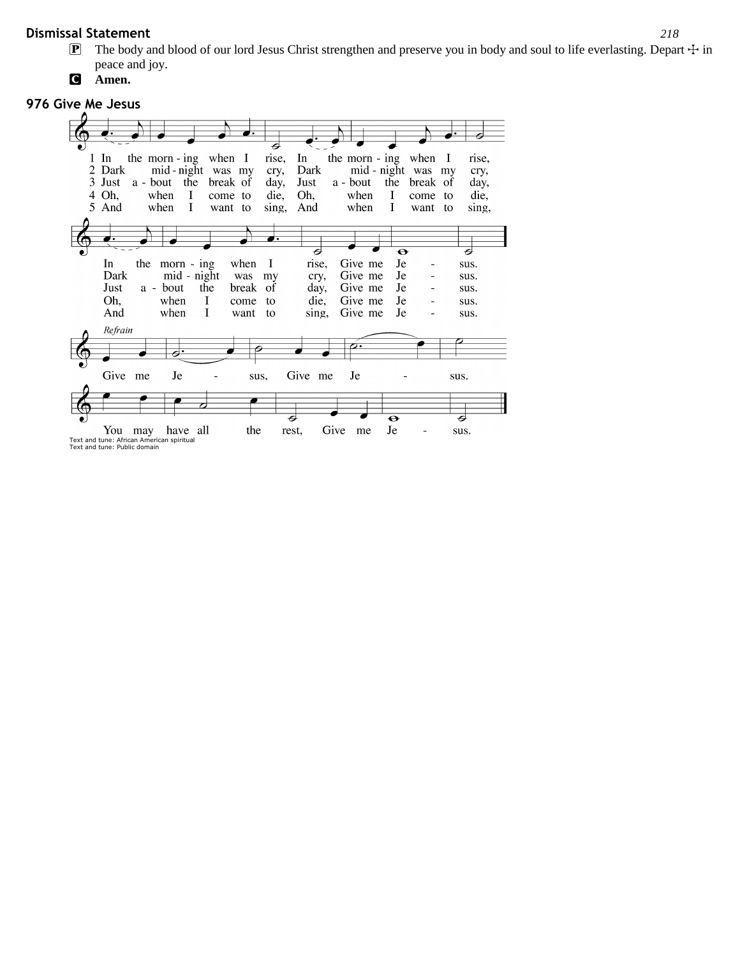# **Dismissal Statement** *218*

- **P** The body and blood of our lord Jesus Christ strengthen and preserve you in body and soul to life everlasting. Depart  $\pm$  in peace and joy.
- C **Amen.**

# **976 Give Me Jesus**



Text and tune: African American spiritual Text and tune: Public domain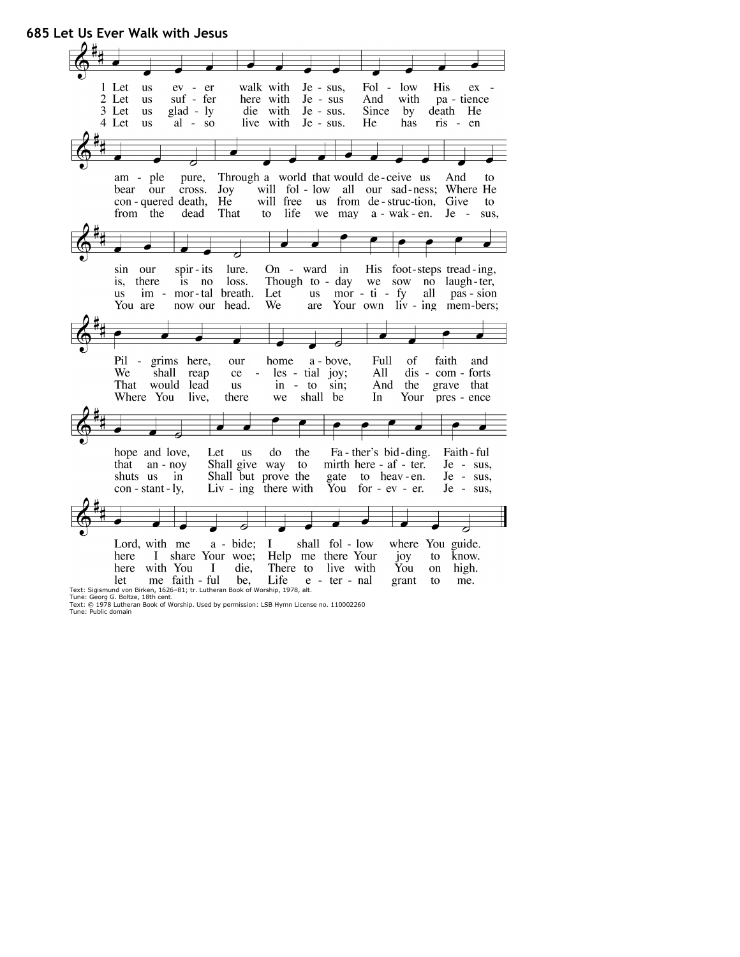

Text: © 1978 Lutheran Book of Worship. Used by permission: LSB Hymn License no. 110002260 Tune: Public domain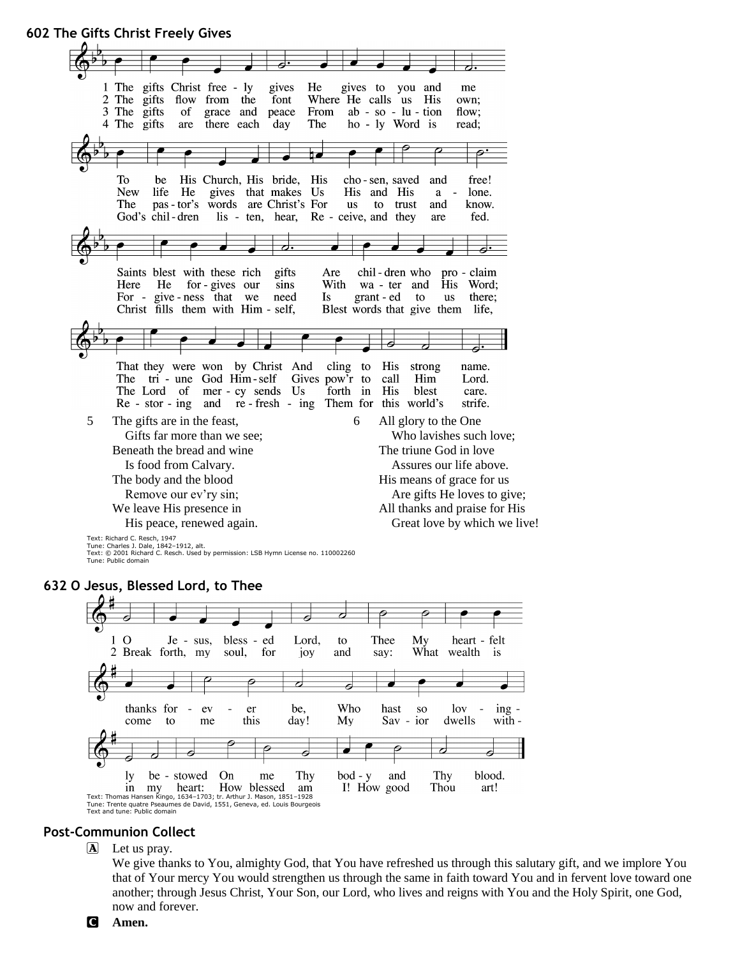**602 The Gifts Christ Freely Gives** 1 The gifts Christ free - ly gives He gives to you and me 2 The gifts flow from the font Where He calls us His own; 3 The gifts of grace and peace From  $ab - so - lu - tion$ flow; 4 The gifts are there each day The ho - ly Word is read;  $\overline{\mathcal{P}}$ To His Church, His bride, be His cho-sen, saved and free! lone. **New** life He gives that makes Us His and His a The pas - tor's words are Christ's For us know. to trust and God's chil-dren lis - ten, hear, Re - ceive, and they are fed. ⇁. Saints blest with these rich gifts chil-dren who - claim Are pro With Word; Here He for - gives our sins wa - ter and His For - give-ness that we need Is grant - ed to  $\overline{u}$ s there: Christ fills them with Him - self, Blest words that give them life, cling That they were won by Christ And to His strong name. The tri - une God Him-self Gives pow'r to call Him Lord. The Lord of mer - cy sends Us forth in His blest care.  $Re - stor - ing$ and  $re$  - fresh - ing Them for this world's strife. 5 The gifts are in the feast, 6 All glory to the One Gifts far more than we see; Who lavishes such love; Beneath the bread and wine The triune God in love Assures our life above. Is food from Calvary. The body and the blood His means of grace for us Remove our ev'ry sin; Are gifts He loves to give; All thanks and praise for His We leave His presence in His peace, renewed again. Great love by which we live! Text: Richard C. Resch, 1947 Tune: Charles J. Dale, 1842–1912, alt.

Text: © 2001 Richard C. Resch. Used by permission: LSB Hymn License no. 110002260 Tune: Public domain

# **632 O Jesus, Blessed Lord, to Thee**



# **Post-Communion Collect**

A Let us pray.

We give thanks to You, almighty God, that You have refreshed us through this salutary gift, and we implore You that of Your mercy You would strengthen us through the same in faith toward You and in fervent love toward one another; through Jesus Christ, Your Son, our Lord, who lives and reigns with You and the Holy Spirit, one God, now and forever.

C **Amen.**